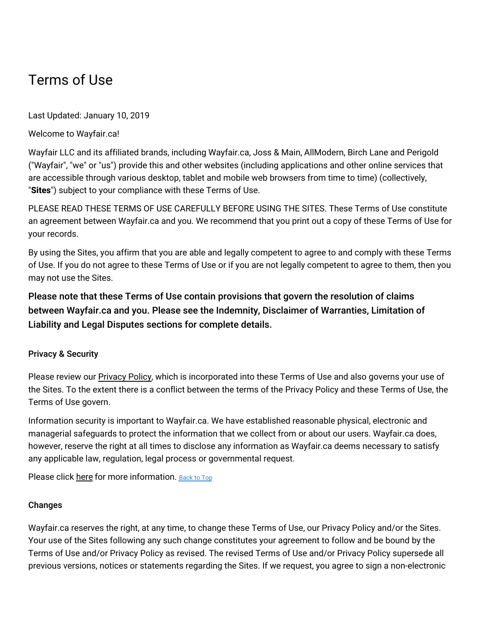# Terms of Use

Last Updated: January 10, 2019

Welcome to Wayfair.ca!

Wayfair LLC and its affiliated brands, including Wayfair.ca, Joss & Main, AllModern, Birch Lane and Perigold ("Wayfair", "we" or "us") provide this and other websites (including applications and other online services that are accessible through various desktop, tablet and mobile web browsers from time to time) (collectively, "**Sites**") subject to your compliance with these Terms of Use.

PLEASE READ THESE TERMS OF USE CAREFULLY BEFORE USING THE SITES. These Terms of Use constitute an agreement between Wayfair.ca and you. We recommend that you print out a copy of these Terms of Use for your records.

By using the Sites, you affirm that you are able and legally competent to agree to and comply with these Terms of Use. If you do not agree to these Terms of Use or if you are not legally competent to agree to them, then you may not use the Sites.

Please note that these Terms of Use contain provisions that govern the resolution of claims between Wayfair.ca and you. Please see the Indemnity, Disclaimer of Warranties, Limitation of Liability and Legal Disputes sections for complete details.

# Privacy & Security

Please review our [Privacy](https://terms.wayfair.io/en-CA#wfca-privacy) Policy, which is incorporated into these Terms of Use and also governs your use of the Sites. To the extent there is a conflict between the terms of the Privacy Policy and these Terms of Use, the Terms of Use govern.

Information security is important to Wayfair.ca. We have established reasonable physical, electronic and managerial safeguards to protect the information that we collect from or about our users. Wayfair.ca does, however, reserve the right at all times to disclose any information as Wayfair.ca deems necessary to satisfy any applicable law, regulation, legal process or governmental request.

Please click [here](https://terms.wayfair.io/en-CA#wfca-privacy-security) for more information. [Back](#wfca-terms-top) to Top

# **Changes**

Wayfair.ca reserves the right, at any time, to change these Terms of Use, our Privacy Policy and/or the Sites. Your use of the Sites following any such change constitutes your agreement to follow and be bound by the Terms of Use and/or Privacy Policy as revised. The revised Terms of Use and/or Privacy Policy supersede all previous versions, notices or statements regarding the Sites. If we request, you agree to sign a non-electronic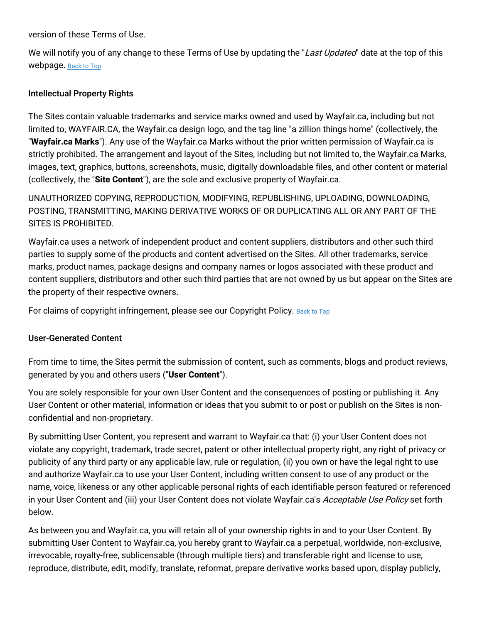version of these Terms of Use.

We will notify you of any change to these Terms of Use by updating the "Last Updated" date at the top of this webpage. [Back](#wfca-terms-top) to Top

# Intellectual Property Rights

The Sites contain valuable trademarks and service marks owned and used by Wayfair.ca, including but not limited to, WAYFAIR.CA, the Wayfair.ca design logo, and the tag line "a zillion things home" (collectively, the "**Wayfair.ca Marks**"). Any use of the Wayfair.ca Marks without the prior written permission of Wayfair.ca is strictly prohibited. The arrangement and layout of the Sites, including but not limited to, the Wayfair.ca Marks, images, text, graphics, buttons, screenshots, music, digitally downloadable files, and other content or material (collectively, the "**Site Content**"), are the sole and exclusive property of Wayfair.ca.

UNAUTHORIZED COPYING, REPRODUCTION, MODIFYING, REPUBLISHING, UPLOADING, DOWNLOADING, POSTING, TRANSMITTING, MAKING DERIVATIVE WORKS OF OR DUPLICATING ALL OR ANY PART OF THE SITES IS PROHIBITED.

Wayfair.ca uses a network of independent product and content suppliers, distributors and other such third parties to supply some of the products and content advertised on the Sites. All other trademarks, service marks, product names, package designs and company names or logos associated with these product and content suppliers, distributors and other such third parties that are not owned by us but appear on the Sites are the property of their respective owners.

For claims of copyright infringement, please see our [Copyright](https://terms.wayfair.io/en-CA#wfca-copyright) Policy. [Back](#wfca-terms-top) to Top

#### User-Generated Content

From time to time, the Sites permit the submission of content, such as comments, blogs and product reviews, generated by you and others users ("**User Content**").

You are solely responsible for your own User Content and the consequences of posting or publishing it. Any User Content or other material, information or ideas that you submit to or post or publish on the Sites is nonconfidential and non-proprietary.

By submitting User Content, you represent and warrant to Wayfair.ca that: (i) your User Content does not violate any copyright, trademark, trade secret, patent or other intellectual property right, any right of privacy or publicity of any third party or any applicable law, rule or regulation, (ii) you own or have the legal right to use and authorize Wayfair.ca to use your User Content, including written consent to use of any product or the name, voice, likeness or any other applicable personal rights of each identifiable person featured or referenced in your User Content and (iii) your User Content does not violate Wayfair.ca's Acceptable Use Policy set forth below.

As between you and Wayfair.ca, you will retain all of your ownership rights in and to your User Content. By submitting User Content to Wayfair.ca, you hereby grant to Wayfair.ca a perpetual, worldwide, non-exclusive, irrevocable, royalty-free, sublicensable (through multiple tiers) and transferable right and license to use, reproduce, distribute, edit, modify, translate, reformat, prepare derivative works based upon, display publicly,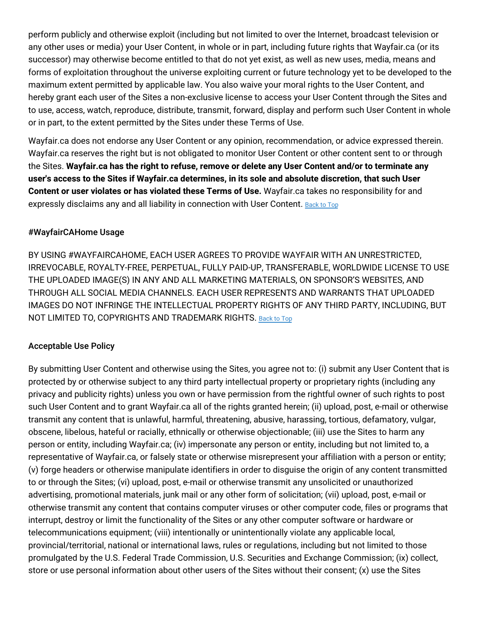perform publicly and otherwise exploit (including but not limited to over the Internet, broadcast television or any other uses or media) your User Content, in whole or in part, including future rights that Wayfair.ca (or its successor) may otherwise become entitled to that do not yet exist, as well as new uses, media, means and forms of exploitation throughout the universe exploiting current or future technology yet to be developed to the maximum extent permitted by applicable law. You also waive your moral rights to the User Content, and hereby grant each user of the Sites a non-exclusive license to access your User Content through the Sites and to use, access, watch, reproduce, distribute, transmit, forward, display and perform such User Content in whole or in part, to the extent permitted by the Sites under these Terms of Use.

Wayfair.ca does not endorse any User Content or any opinion, recommendation, or advice expressed therein. Wayfair.ca reserves the right but is not obligated to monitor User Content or other content sent to or through the Sites. **Wayfair.ca has the right to refuse, remove or delete any User Content and/or to terminate any user's access to the Sites if Wayfair.ca determines, in its sole and absolute discretion, that such User Content or user violates or has violated these Terms of Use.** Wayfair.ca takes no responsibility for and expressly disclaims any and all liability in connection with User Content. [Back](#wfca-terms-top) to Top

# #WayfairCAHome Usage

BY USING #WAYFAIRCAHOME, EACH USER AGREES TO PROVIDE WAYFAIR WITH AN UNRESTRICTED, IRREVOCABLE, ROYALTY-FREE, PERPETUAL, FULLY PAID-UP, TRANSFERABLE, WORLDWIDE LICENSE TO USE THE UPLOADED IMAGE(S) IN ANY AND ALL MARKETING MATERIALS, ON SPONSOR'S WEBSITES, AND THROUGH ALL SOCIAL MEDIA CHANNELS. EACH USER REPRESENTS AND WARRANTS THAT UPLOADED IMAGES DO NOT INFRINGE THE INTELLECTUAL PROPERTY RIGHTS OF ANY THIRD PARTY, INCLUDING, BUT NOT LIMITED TO, COPYRIGHTS AND TRADEMARK RIGHTS. [Back](#wfca-terms-top) to Top

#### Acceptable Use Policy

By submitting User Content and otherwise using the Sites, you agree not to: (i) submit any User Content that is protected by or otherwise subject to any third party intellectual property or proprietary rights (including any privacy and publicity rights) unless you own or have permission from the rightful owner of such rights to post such User Content and to grant Wayfair.ca all of the rights granted herein; (ii) upload, post, e-mail or otherwise transmit any content that is unlawful, harmful, threatening, abusive, harassing, tortious, defamatory, vulgar, obscene, libelous, hateful or racially, ethnically or otherwise objectionable; (iii) use the Sites to harm any person or entity, including Wayfair.ca; (iv) impersonate any person or entity, including but not limited to, a representative of Wayfair.ca, or falsely state or otherwise misrepresent your affiliation with a person or entity; (v) forge headers or otherwise manipulate identifiers in order to disguise the origin of any content transmitted to or through the Sites; (vi) upload, post, e-mail or otherwise transmit any unsolicited or unauthorized advertising, promotional materials, junk mail or any other form of solicitation; (vii) upload, post, e-mail or otherwise transmit any content that contains computer viruses or other computer code, files or programs that interrupt, destroy or limit the functionality of the Sites or any other computer software or hardware or telecommunications equipment; (viii) intentionally or unintentionally violate any applicable local, provincial/territorial, national or international laws, rules or regulations, including but not limited to those promulgated by the U.S. Federal Trade Commission, U.S. Securities and Exchange Commission; (ix) collect, store or use personal information about other users of the Sites without their consent; (x) use the Sites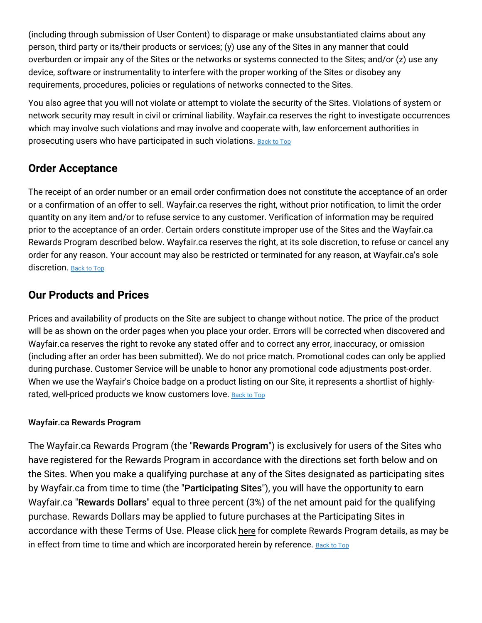(including through submission of User Content) to disparage or make unsubstantiated claims about any person, third party or its/their products or services; (y) use any of the Sites in any manner that could overburden or impair any of the Sites or the networks or systems connected to the Sites; and/or (z) use any device, software or instrumentality to interfere with the proper working of the Sites or disobey any requirements, procedures, policies or regulations of networks connected to the Sites.

You also agree that you will not violate or attempt to violate the security of the Sites. Violations of system or network security may result in civil or criminal liability. Wayfair.ca reserves the right to investigate occurrences which may involve such violations and may involve and cooperate with, law enforcement authorities in prosecuting users who have participated in such violations. [Back](#wfca-terms-top) to Top

# **Order Acceptance**

The receipt of an order number or an email order confirmation does not constitute the acceptance of an order or a confirmation of an offer to sell. Wayfair.ca reserves the right, without prior notification, to limit the order quantity on any item and/or to refuse service to any customer. Verification of information may be required prior to the acceptance of an order. Certain orders constitute improper use of the Sites and the Wayfair.ca Rewards Program described below. Wayfair.ca reserves the right, at its sole discretion, to refuse or cancel any order for any reason. Your account may also be restricted or terminated for any reason, at Wayfair.ca's sole discretion. [Back](#wfca-terms-top) to Top

# **Our Products and Prices**

Prices and availability of products on the Site are subject to change without notice. The price of the product will be as shown on the order pages when you place your order. Errors will be corrected when discovered and Wayfair.ca reserves the right to revoke any stated offer and to correct any error, inaccuracy, or omission (including after an order has been submitted). We do not price match. Promotional codes can only be applied during purchase. Customer Service will be unable to honor any promotional code adjustments post-order. When we use the Wayfair's Choice badge on a product listing on our Site, it represents a shortlist of highly-rated, well-priced products we know customers love. [Back](#wfca-terms-top) to Top

# Wayfair.ca Rewards Program

The Wayfair.ca Rewards Program (the "Rewards Program") is exclusively for users of the Sites who have registered for the Rewards Program in accordance with the directions set forth below and on the Sites. When you make a qualifying purchase at any of the Sites designated as participating sites by Wayfair.ca from time to time (the "Participating Sites"), you will have the opportunity to earn Wayfair.ca "Rewards Dollars" equal to three percent (3%) of the net amount paid for the qualifying purchase. Rewards Dollars may be applied to future purchases at the Participating Sites in accordance with these Terms of Use. Please click [here](https://terms.wayfair.io/en-CA#wfca-rewards) for complete Rewards Program details, as may be in effect from time to time and which are incorporated herein by reference. [Back](#wfca-terms-top) to Top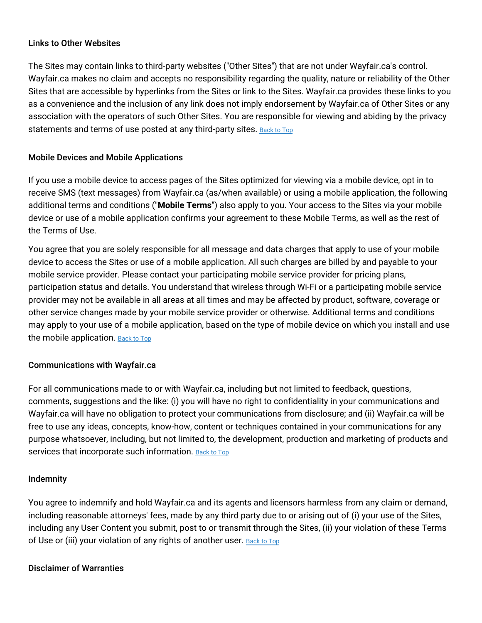#### Links to Other Websites

The Sites may contain links to third-party websites ("Other Sites") that are not under Wayfair.ca's control. Wayfair.ca makes no claim and accepts no responsibility regarding the quality, nature or reliability of the Other Sites that are accessible by hyperlinks from the Sites or link to the Sites. Wayfair.ca provides these links to you as a convenience and the inclusion of any link does not imply endorsement by Wayfair.ca of Other Sites or any association with the operators of such Other Sites. You are responsible for viewing and abiding by the privacy statements and terms of use posted at any third-party sites. [Back](#wfca-terms-top) to Top

# Mobile Devices and Mobile Applications

If you use a mobile device to access pages of the Sites optimized for viewing via a mobile device, opt in to receive SMS (text messages) from Wayfair.ca (as/when available) or using a mobile application, the following additional terms and conditions ("**Mobile Terms**") also apply to you. Your access to the Sites via your mobile device or use of a mobile application confirms your agreement to these Mobile Terms, as well as the rest of the Terms of Use.

You agree that you are solely responsible for all message and data charges that apply to use of your mobile device to access the Sites or use of a mobile application. All such charges are billed by and payable to your mobile service provider. Please contact your participating mobile service provider for pricing plans, participation status and details. You understand that wireless through Wi-Fi or a participating mobile service provider may not be available in all areas at all times and may be affected by product, software, coverage or other service changes made by your mobile service provider or otherwise. Additional terms and conditions may apply to your use of a mobile application, based on the type of mobile device on which you install and use the mobile application. [Back](#wfca-terms-top) to Top

# Communications with Wayfair.ca

For all communications made to or with Wayfair.ca, including but not limited to feedback, questions, comments, suggestions and the like: (i) you will have no right to confidentiality in your communications and Wayfair.ca will have no obligation to protect your communications from disclosure; and (ii) Wayfair.ca will be free to use any ideas, concepts, know-how, content or techniques contained in your communications for any purpose whatsoever, including, but not limited to, the development, production and marketing of products and services that incorporate such information. [Back](#wfca-terms-top) to Top

#### Indemnity

You agree to indemnify and hold Wayfair.ca and its agents and licensors harmless from any claim or demand, including reasonable attorneys' fees, made by any third party due to or arising out of (i) your use of the Sites, including any User Content you submit, post to or transmit through the Sites, (ii) your violation of these Terms of Use or (iii) your violation of any rights of another user. [Back](#wfca-terms-top) to Top

#### Disclaimer of Warranties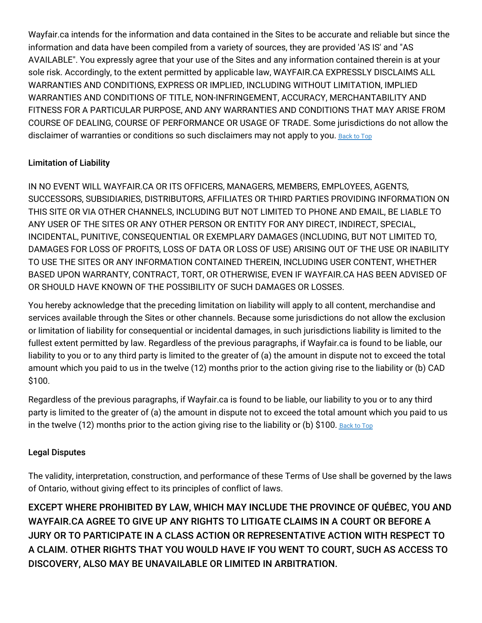Wayfair.ca intends for the information and data contained in the Sites to be accurate and reliable but since the information and data have been compiled from a variety of sources, they are provided 'AS IS' and "AS AVAILABLE". You expressly agree that your use of the Sites and any information contained therein is at your sole risk. Accordingly, to the extent permitted by applicable law, WAYFAIR.CA EXPRESSLY DISCLAIMS ALL WARRANTIES AND CONDITIONS, EXPRESS OR IMPLIED, INCLUDING WITHOUT LIMITATION, IMPLIED WARRANTIES AND CONDITIONS OF TITLE, NON-INFRINGEMENT, ACCURACY, MERCHANTABILITY AND FITNESS FOR A PARTICULAR PURPOSE, AND ANY WARRANTIES AND CONDITIONS THAT MAY ARISE FROM COURSE OF DEALING, COURSE OF PERFORMANCE OR USAGE OF TRADE. Some jurisdictions do not allow the disclaimer of warranties or conditions so such disclaimers may not apply to you. [Back](#wfca-terms-top) to Top

# Limitation of Liability

IN NO EVENT WILL WAYFAIR.CA OR ITS OFFICERS, MANAGERS, MEMBERS, EMPLOYEES, AGENTS, SUCCESSORS, SUBSIDIARIES, DISTRIBUTORS, AFFILIATES OR THIRD PARTIES PROVIDING INFORMATION ON THIS SITE OR VIA OTHER CHANNELS, INCLUDING BUT NOT LIMITED TO PHONE AND EMAIL, BE LIABLE TO ANY USER OF THE SITES OR ANY OTHER PERSON OR ENTITY FOR ANY DIRECT, INDIRECT, SPECIAL, INCIDENTAL, PUNITIVE, CONSEQUENTIAL OR EXEMPLARY DAMAGES (INCLUDING, BUT NOT LIMITED TO, DAMAGES FOR LOSS OF PROFITS, LOSS OF DATA OR LOSS OF USE) ARISING OUT OF THE USE OR INABILITY TO USE THE SITES OR ANY INFORMATION CONTAINED THEREIN, INCLUDING USER CONTENT, WHETHER BASED UPON WARRANTY, CONTRACT, TORT, OR OTHERWISE, EVEN IF WAYFAIR.CA HAS BEEN ADVISED OF OR SHOULD HAVE KNOWN OF THE POSSIBILITY OF SUCH DAMAGES OR LOSSES.

You hereby acknowledge that the preceding limitation on liability will apply to all content, merchandise and services available through the Sites or other channels. Because some jurisdictions do not allow the exclusion or limitation of liability for consequential or incidental damages, in such jurisdictions liability is limited to the fullest extent permitted by law. Regardless of the previous paragraphs, if Wayfair.ca is found to be liable, our liability to you or to any third party is limited to the greater of (a) the amount in dispute not to exceed the total amount which you paid to us in the twelve (12) months prior to the action giving rise to the liability or (b) CAD \$100.

Regardless of the previous paragraphs, if Wayfair.ca is found to be liable, our liability to you or to any third party is limited to the greater of (a) the amount in dispute not to exceed the total amount which you paid to us in the twelve (12) months prior to the action giving rise to the liability or (b) \$100. [Back](#wfca-terms-top) to Top

# Legal Disputes

The validity, interpretation, construction, and performance of these Terms of Use shall be governed by the laws of Ontario, without giving effect to its principles of conflict of laws.

EXCEPT WHERE PROHIBITED BY LAW, WHICH MAY INCLUDE THE PROVINCE OF QUÉBEC, YOU AND WAYFAIR.CA AGREE TO GIVE UP ANY RIGHTS TO LITIGATE CLAIMS IN A COURT OR BEFORE A JURY OR TO PARTICIPATE IN A CLASS ACTION OR REPRESENTATIVE ACTION WITH RESPECT TO A CLAIM. OTHER RIGHTS THAT YOU WOULD HAVE IF YOU WENT TO COURT, SUCH AS ACCESS TO DISCOVERY, ALSO MAY BE UNAVAILABLE OR LIMITED IN ARBITRATION.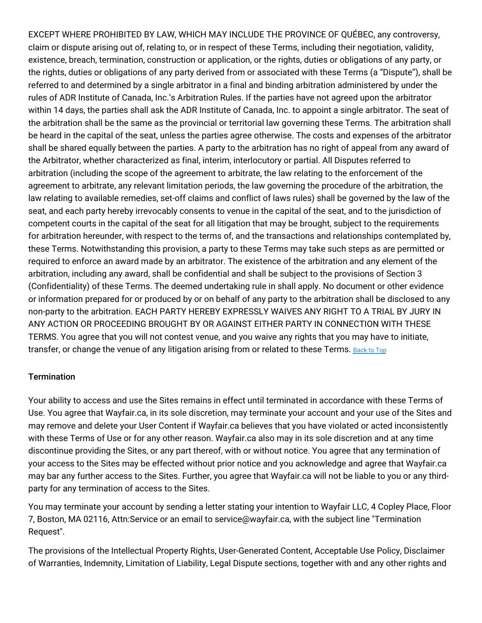EXCEPT WHERE PROHIBITED BY LAW, WHICH MAY INCLUDE THE PROVINCE OF QUÉBEC, any controversy, claim or dispute arising out of, relating to, or in respect of these Terms, including their negotiation, validity, existence, breach, termination, construction or application, or the rights, duties or obligations of any party, or the rights, duties or obligations of any party derived from or associated with these Terms (a "Dispute"), shall be referred to and determined by a single arbitrator in a final and binding arbitration administered by under the rules of ADR Institute of Canada, Inc.'s Arbitration Rules. If the parties have not agreed upon the arbitrator within 14 days, the parties shall ask the ADR Institute of Canada, Inc. to appoint a single arbitrator. The seat of the arbitration shall be the same as the provincial or territorial law governing these Terms. The arbitration shall be heard in the capital of the seat, unless the parties agree otherwise. The costs and expenses of the arbitrator shall be shared equally between the parties. A party to the arbitration has no right of appeal from any award of the Arbitrator, whether characterized as final, interim, interlocutory or partial. All Disputes referred to arbitration (including the scope of the agreement to arbitrate, the law relating to the enforcement of the agreement to arbitrate, any relevant limitation periods, the law governing the procedure of the arbitration, the law relating to available remedies, set-off claims and conflict of laws rules) shall be governed by the law of the seat, and each party hereby irrevocably consents to venue in the capital of the seat, and to the jurisdiction of competent courts in the capital of the seat for all litigation that may be brought, subject to the requirements for arbitration hereunder, with respect to the terms of, and the transactions and relationships contemplated by, these Terms. Notwithstanding this provision, a party to these Terms may take such steps as are permitted or required to enforce an award made by an arbitrator. The existence of the arbitration and any element of the arbitration, including any award, shall be confidential and shall be subject to the provisions of Section 3 (Confidentiality) of these Terms. The deemed undertaking rule in shall apply. No document or other evidence or information prepared for or produced by or on behalf of any party to the arbitration shall be disclosed to any non-party to the arbitration. EACH PARTY HEREBY EXPRESSLY WAIVES ANY RIGHT TO A TRIAL BY JURY IN ANY ACTION OR PROCEEDING BROUGHT BY OR AGAINST EITHER PARTY IN CONNECTION WITH THESE TERMS. You agree that you will not contest venue, and you waive any rights that you may have to initiate, transfer, or change the venue of any litigation arising from or related to these Terms. [Back](#wfca-terms-top) to Top

# **Termination**

Your ability to access and use the Sites remains in effect until terminated in accordance with these Terms of Use. You agree that Wayfair.ca, in its sole discretion, may terminate your account and your use of the Sites and may remove and delete your User Content if Wayfair.ca believes that you have violated or acted inconsistently with these Terms of Use or for any other reason. Wayfair.ca also may in its sole discretion and at any time discontinue providing the Sites, or any part thereof, with or without notice. You agree that any termination of your access to the Sites may be effected without prior notice and you acknowledge and agree that Wayfair.ca may bar any further access to the Sites. Further, you agree that Wayfair.ca will not be liable to you or any thirdparty for any termination of access to the Sites.

You may terminate your account by sending a letter stating your intention to Wayfair LLC, 4 Copley Place, Floor 7, Boston, MA 02116, Attn:Service or an email to service@wayfair.ca, with the subject line "Termination Request".

The provisions of the Intellectual Property Rights, User-Generated Content, Acceptable Use Policy, Disclaimer of Warranties, Indemnity, Limitation of Liability, Legal Dispute sections, together with and any other rights and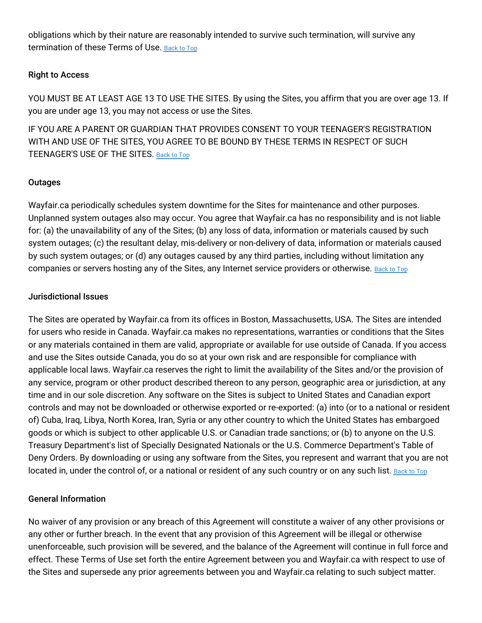obligations which by their nature are reasonably intended to survive such termination, will survive any termination of these Terms of Use. [Back](#wfca-terms-top) to Top

#### Right to Access

YOU MUST BE AT LEAST AGE 13 TO USE THE SITES. By using the Sites, you affirm that you are over age 13. If you are under age 13, you may not access or use the Sites.

IF YOU ARE A PARENT OR GUARDIAN THAT PROVIDES CONSENT TO YOUR TEENAGER'S REGISTRATION WITH AND USE OF THE SITES, YOU AGREE TO BE BOUND BY THESE TERMS IN RESPECT OF SUCH TEENAGER'S USE OF THE SITES. [Back](#wfca-terms-top) to Top

# **Outages**

Wayfair.ca periodically schedules system downtime for the Sites for maintenance and other purposes. Unplanned system outages also may occur. You agree that Wayfair.ca has no responsibility and is not liable for: (a) the unavailability of any of the Sites; (b) any loss of data, information or materials caused by such system outages; (c) the resultant delay, mis-delivery or non-delivery of data, information or materials caused by such system outages; or (d) any outages caused by any third parties, including without limitation any companies or servers hosting any of the Sites, any Internet service providers or otherwise. [Back](#wfca-terms-top) to Top

#### Jurisdictional Issues

The Sites are operated by Wayfair.ca from its offices in Boston, Massachusetts, USA. The Sites are intended for users who reside in Canada. Wayfair.ca makes no representations, warranties or conditions that the Sites or any materials contained in them are valid, appropriate or available for use outside of Canada. If you access and use the Sites outside Canada, you do so at your own risk and are responsible for compliance with applicable local laws. Wayfair.ca reserves the right to limit the availability of the Sites and/or the provision of any service, program or other product described thereon to any person, geographic area or jurisdiction, at any time and in our sole discretion. Any software on the Sites is subject to United States and Canadian export controls and may not be downloaded or otherwise exported or re-exported: (a) into (or to a national or resident of) Cuba, Iraq, Libya, North Korea, Iran, Syria or any other country to which the United States has embargoed goods or which is subject to other applicable U.S. or Canadian trade sanctions; or (b) to anyone on the U.S. Treasury Department's list of Specially Designated Nationals or the U.S. Commerce Department's Table of Deny Orders. By downloading or using any software from the Sites, you represent and warrant that you are not located in, under the control of, or a national or resident of any such country or on any such list. [Back](#wfca-terms-top) to Top

# General Information

No waiver of any provision or any breach of this Agreement will constitute a waiver of any other provisions or any other or further breach. In the event that any provision of this Agreement will be illegal or otherwise unenforceable, such provision will be severed, and the balance of the Agreement will continue in full force and effect. These Terms of Use set forth the entire Agreement between you and Wayfair.ca with respect to use of the Sites and supersede any prior agreements between you and Wayfair.ca relating to such subject matter.